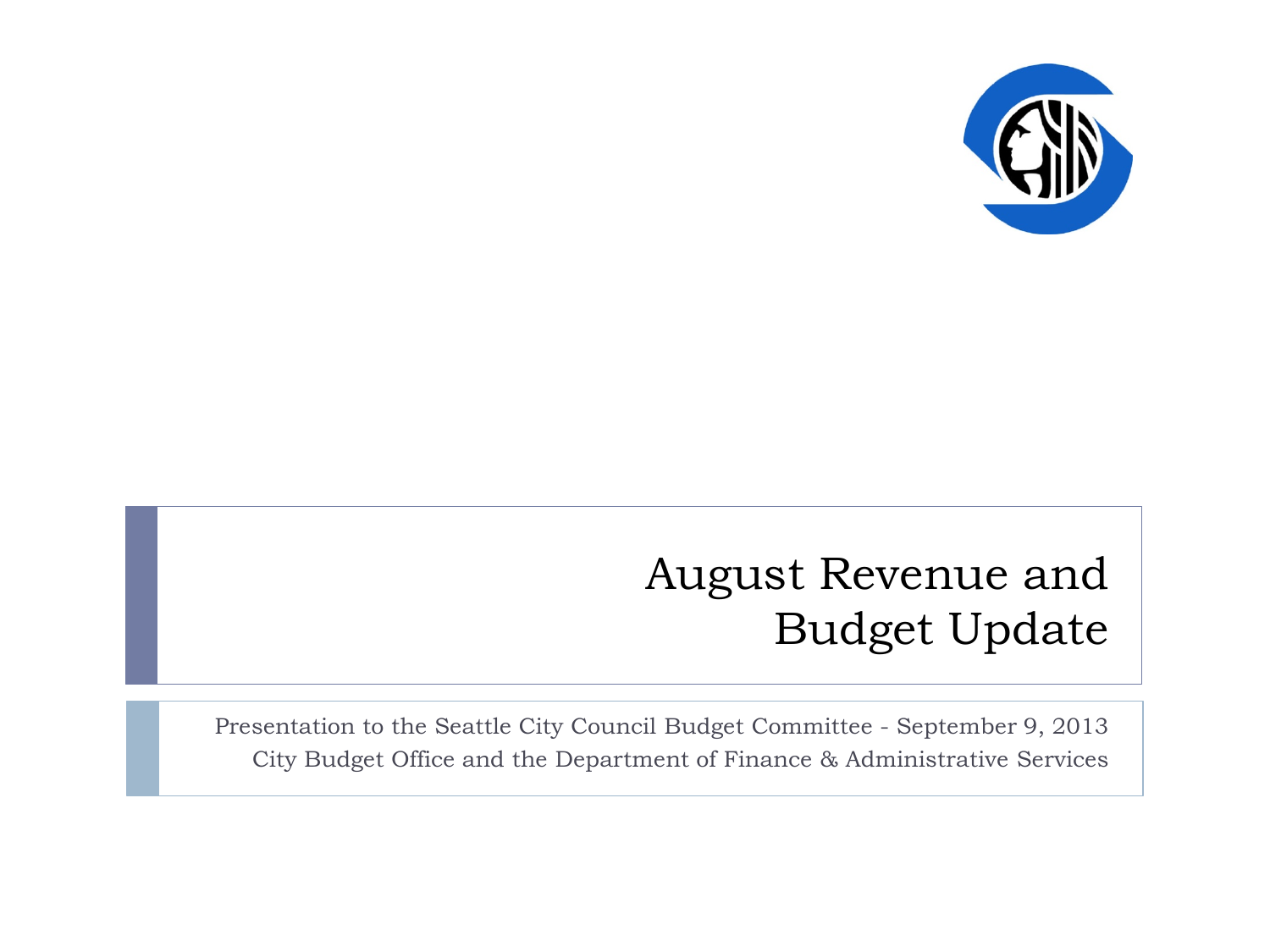

### August Revenue and Budget Update

Presentation to the Seattle City Council Budget Committee - September 9, 2013 City Budget Office and the Department of Finance & Administrative Services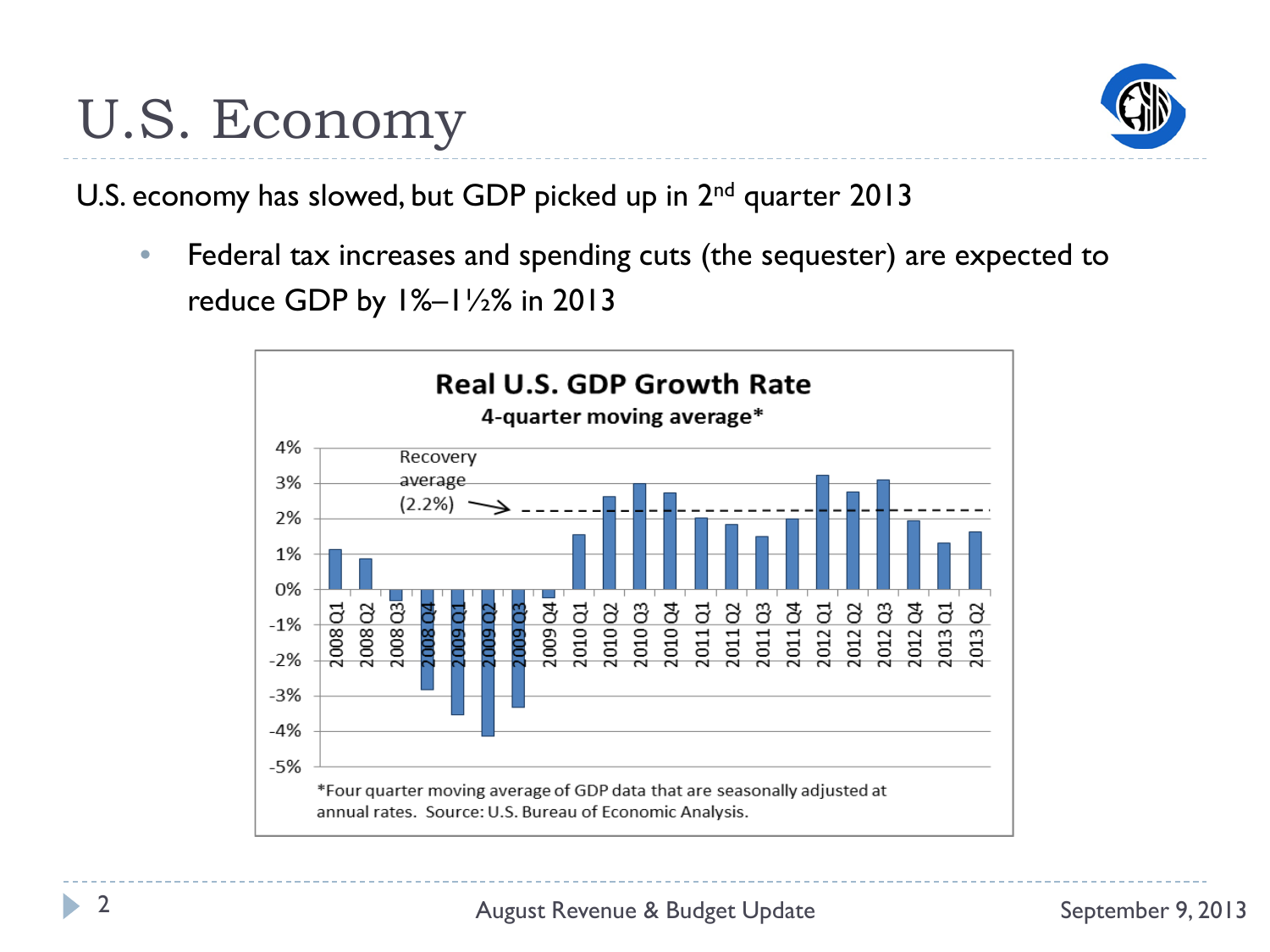

U.S. economy has slowed, but GDP picked up in 2<sup>nd</sup> quarter 2013

• Federal tax increases and spending cuts (the sequester) are expected to reduce GDP by 1%–1½% in 2013

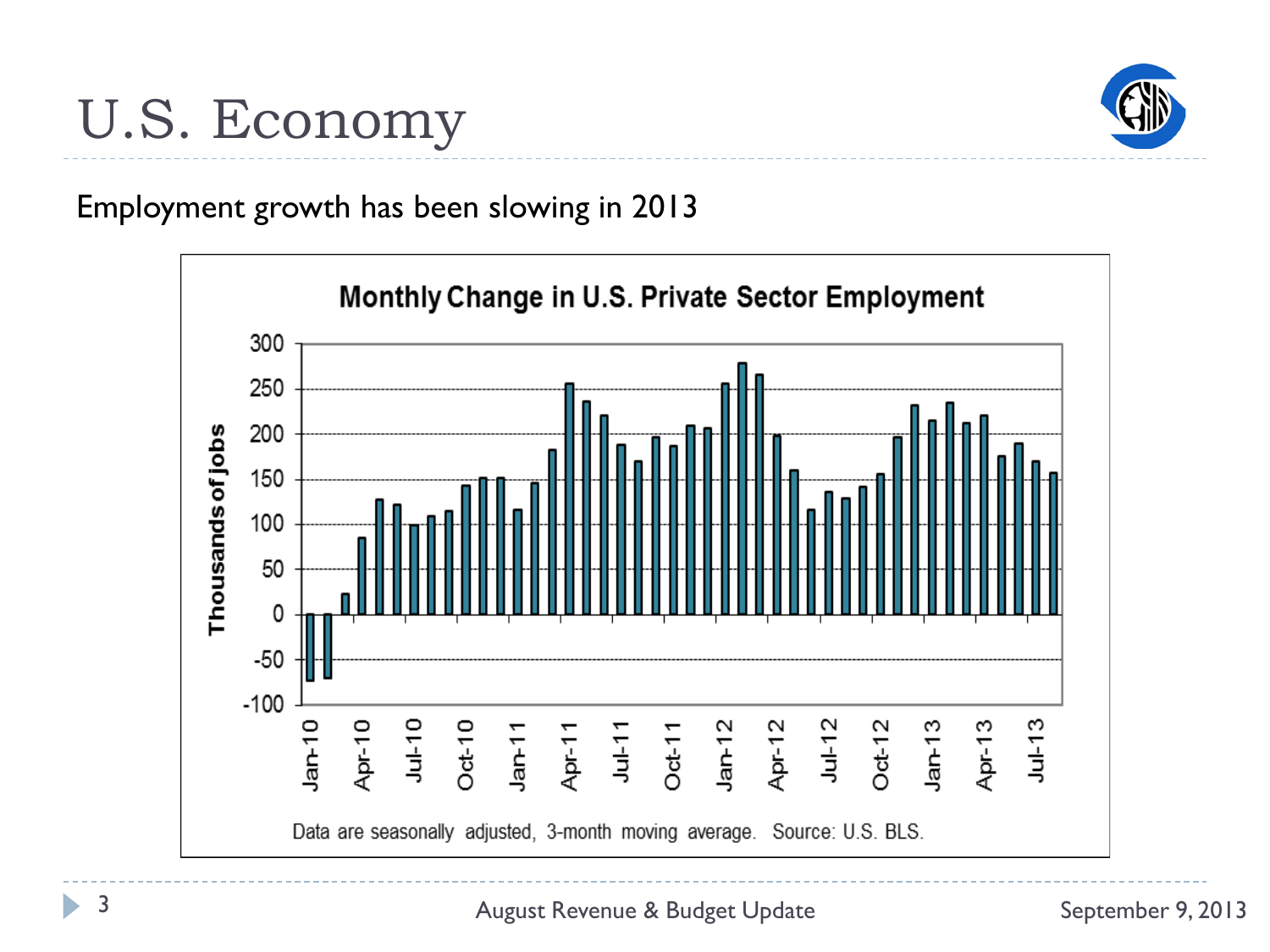

Employment growth has been slowing in 2013



ь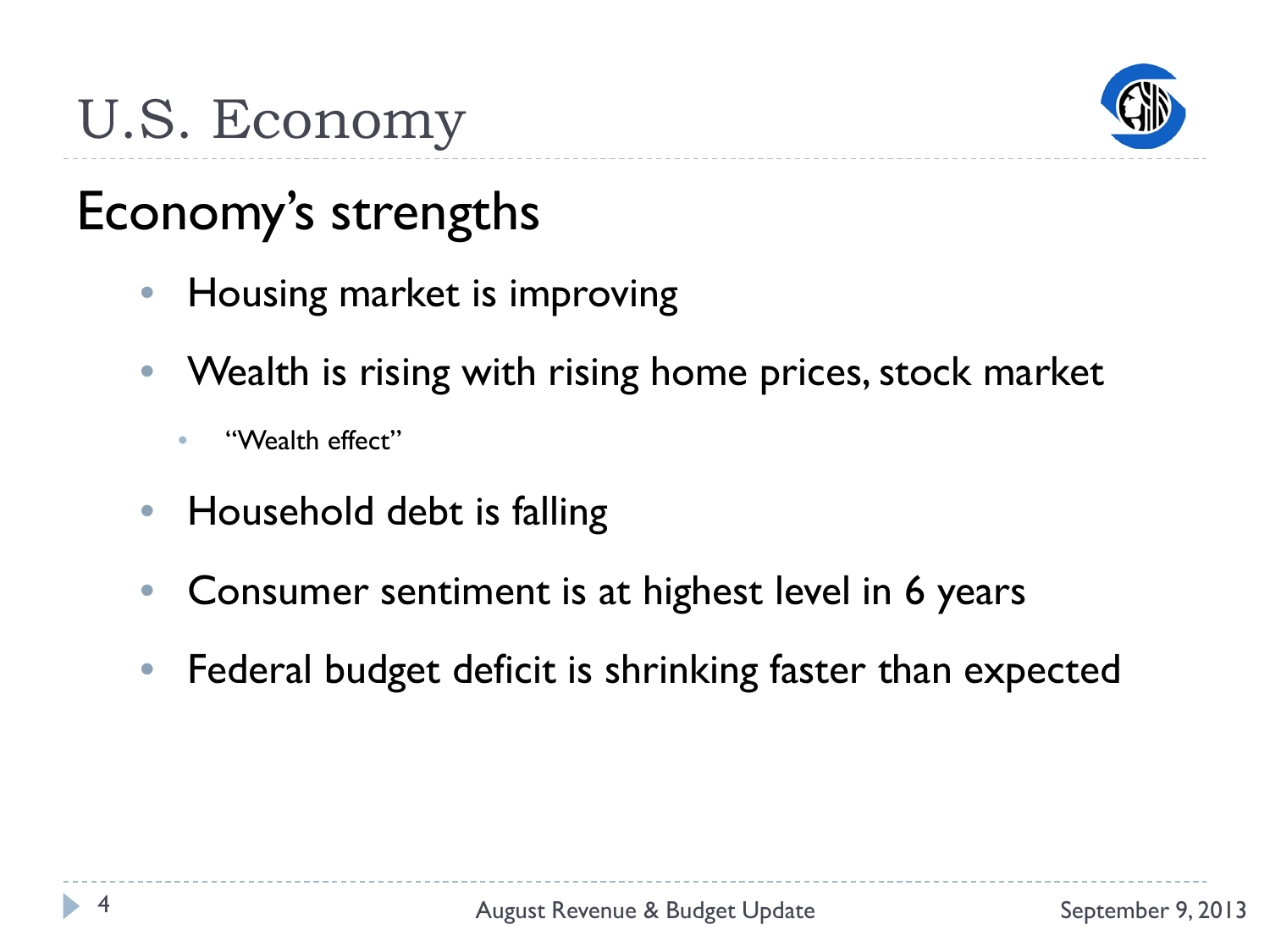

### Economy's strengths

- Housing market is improving
- Wealth is rising with rising home prices, stock market
	- "Wealth effect"
- Household debt is falling
- Consumer sentiment is at highest level in 6 years
- Federal budget deficit is shrinking faster than expected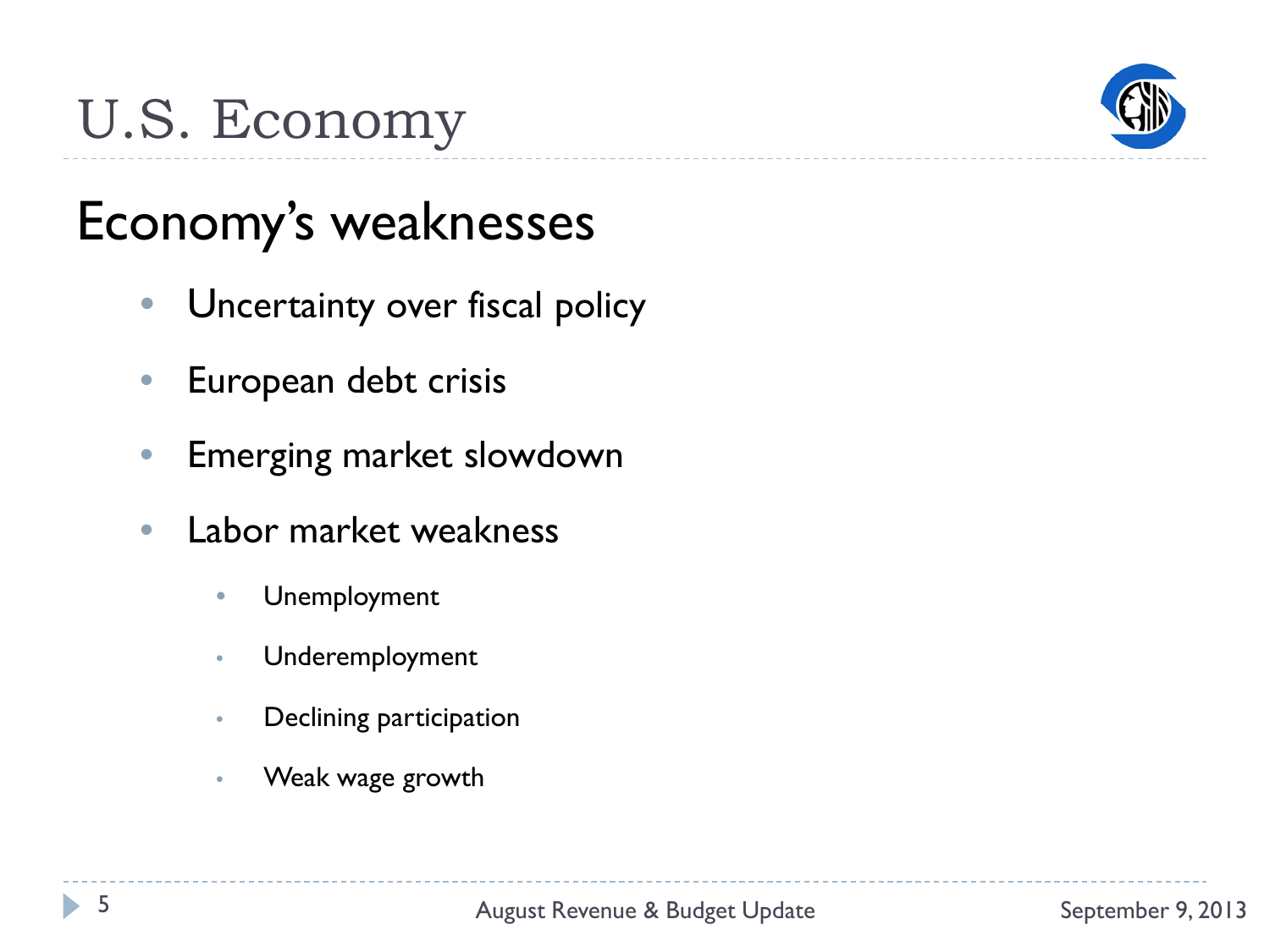

### Economy's weaknesses

- Uncertainty over fiscal policy
- European debt crisis
- Emerging market slowdown
- Labor market weakness
	- Unemployment
	- Underemployment
	- Declining participation
	- Weak wage growth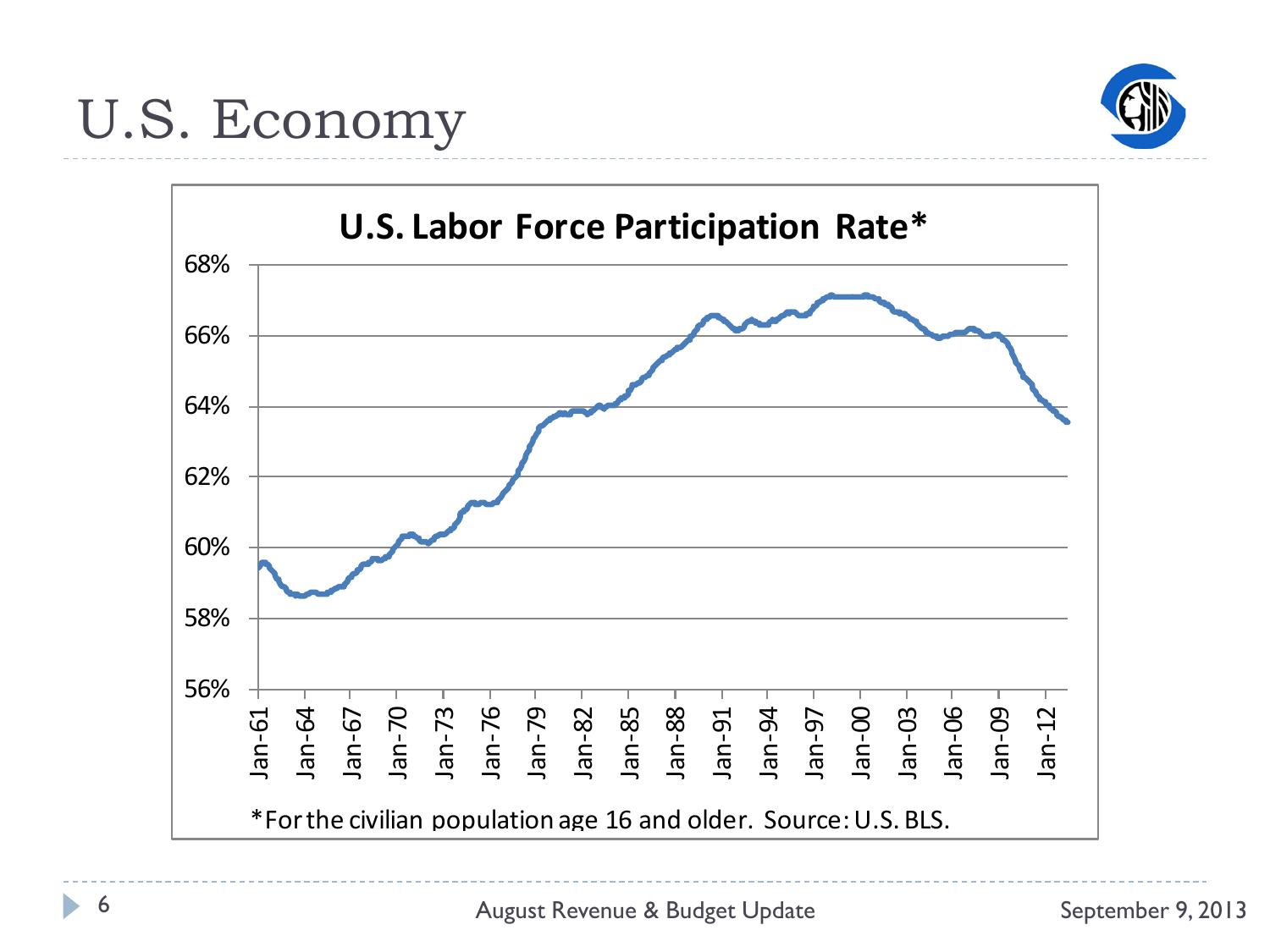

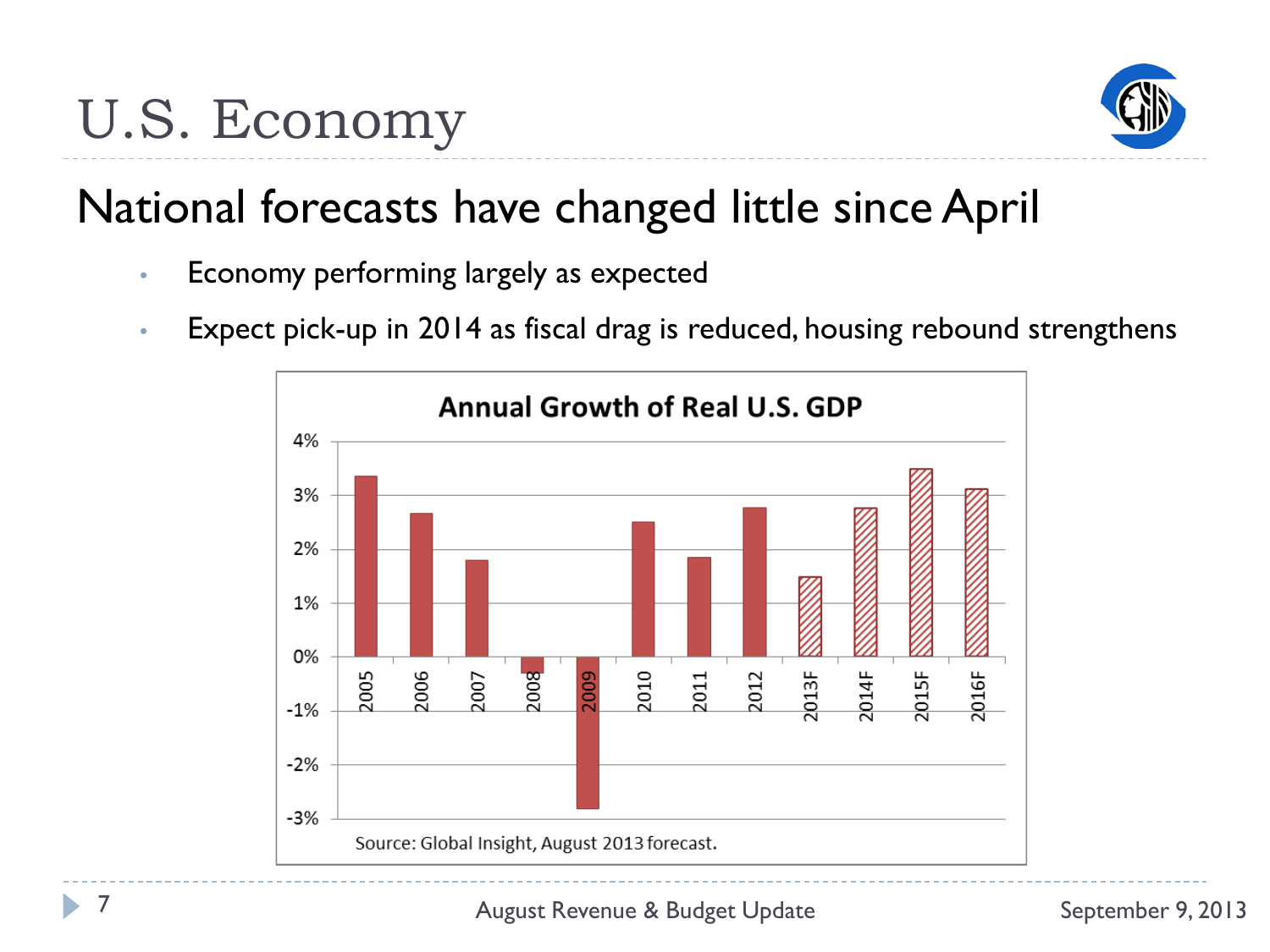

### National forecasts have changed little since April

- Economy performing largely as expected
- Expect pick-up in 2014 as fiscal drag is reduced, housing rebound strengthens

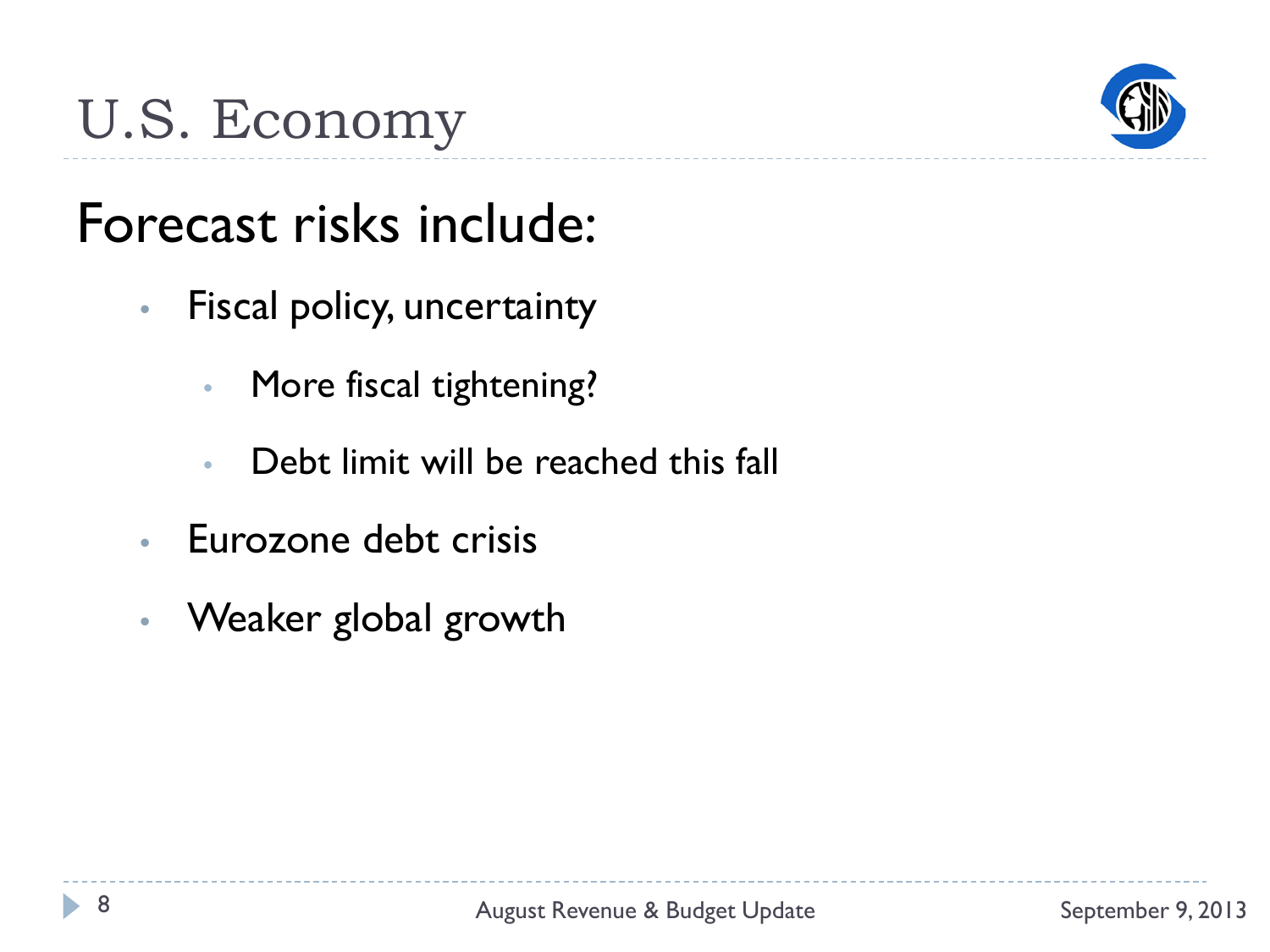

### Forecast risks include:

- Fiscal policy, uncertainty
	- More fiscal tightening?
	- Debt limit will be reached this fall
- Eurozone debt crisis
- Weaker global growth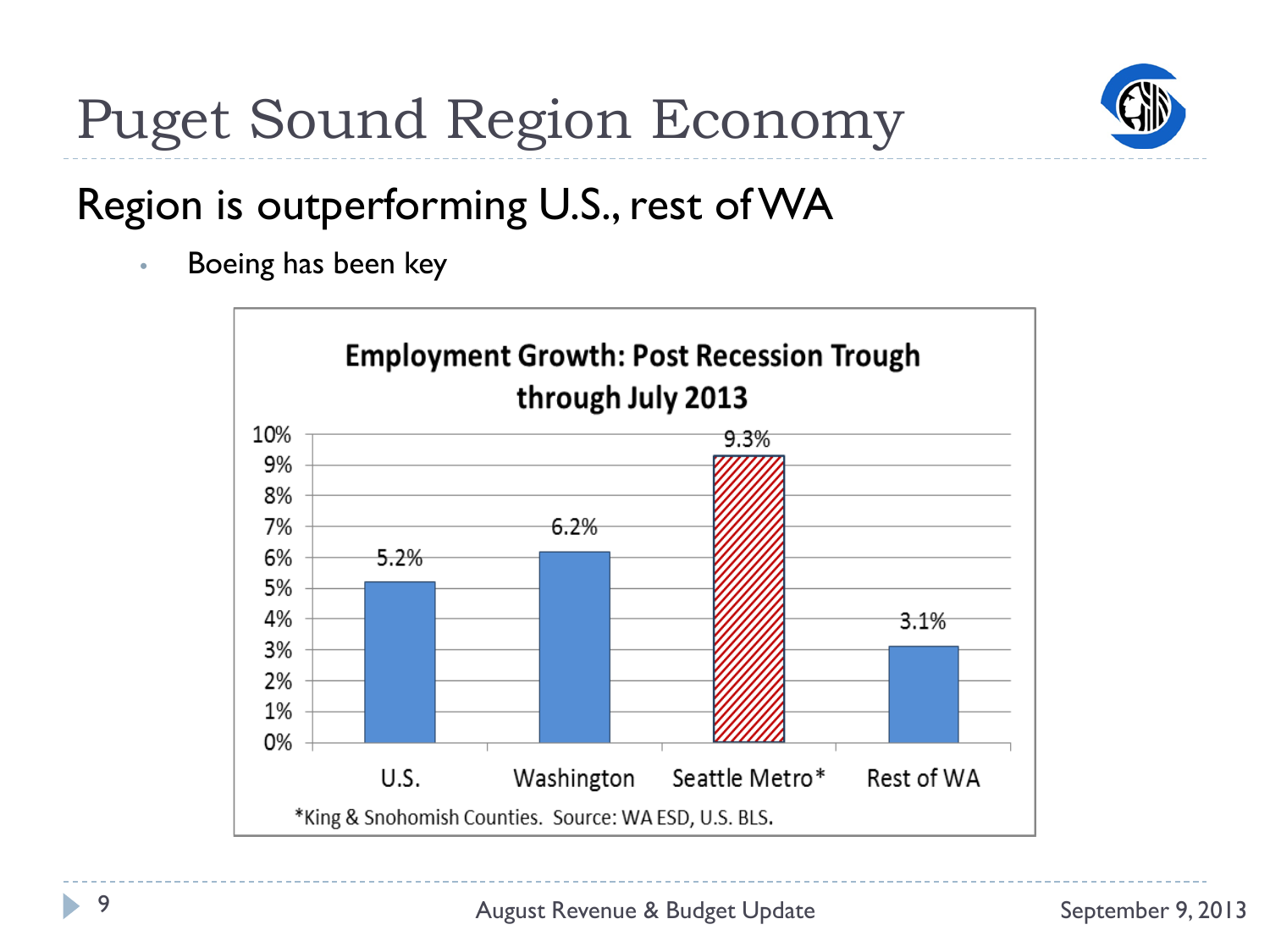

# Puget Sound Region Economy

### Region is outperforming U.S., rest of WA

• Boeing has been key

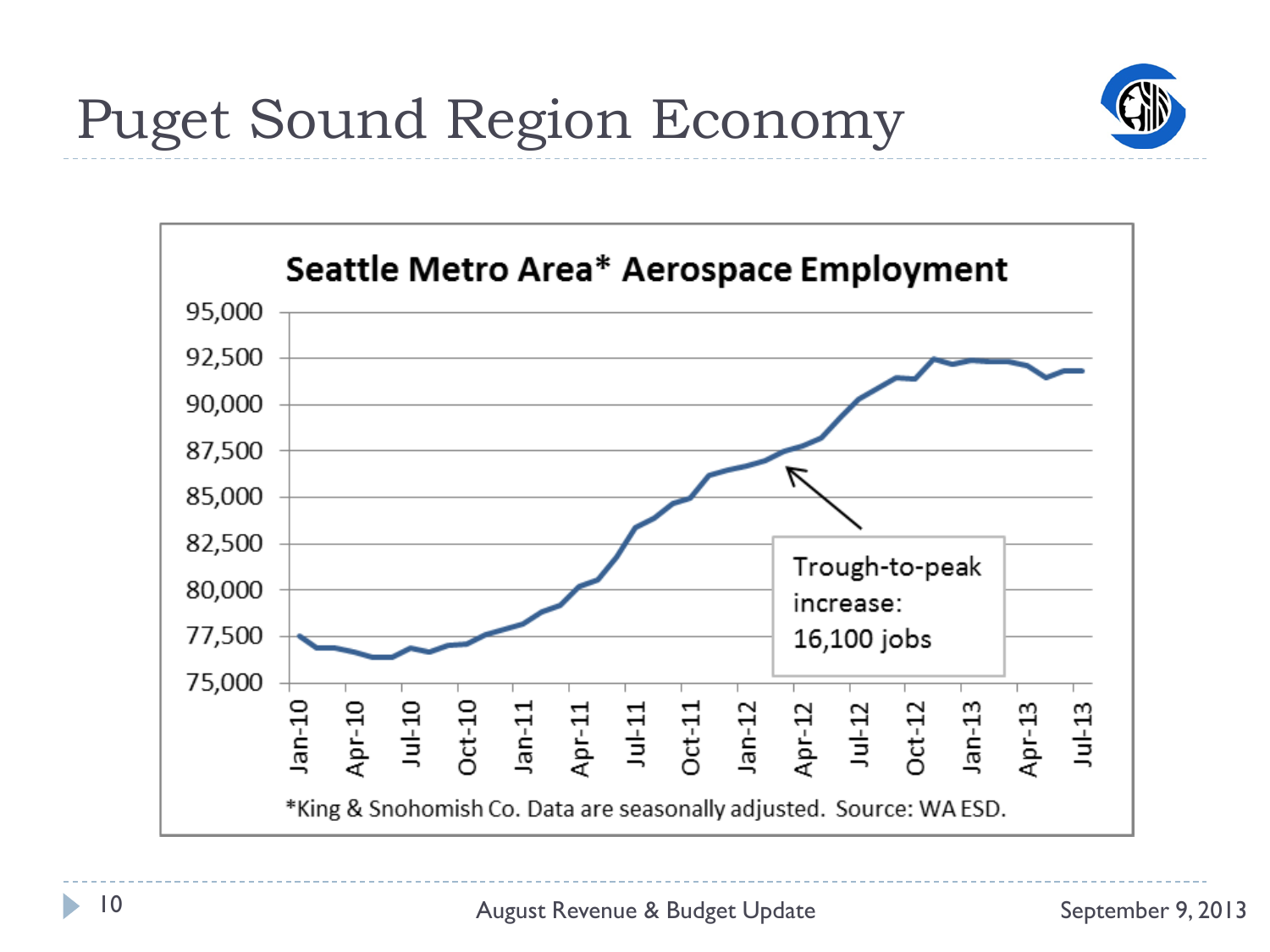

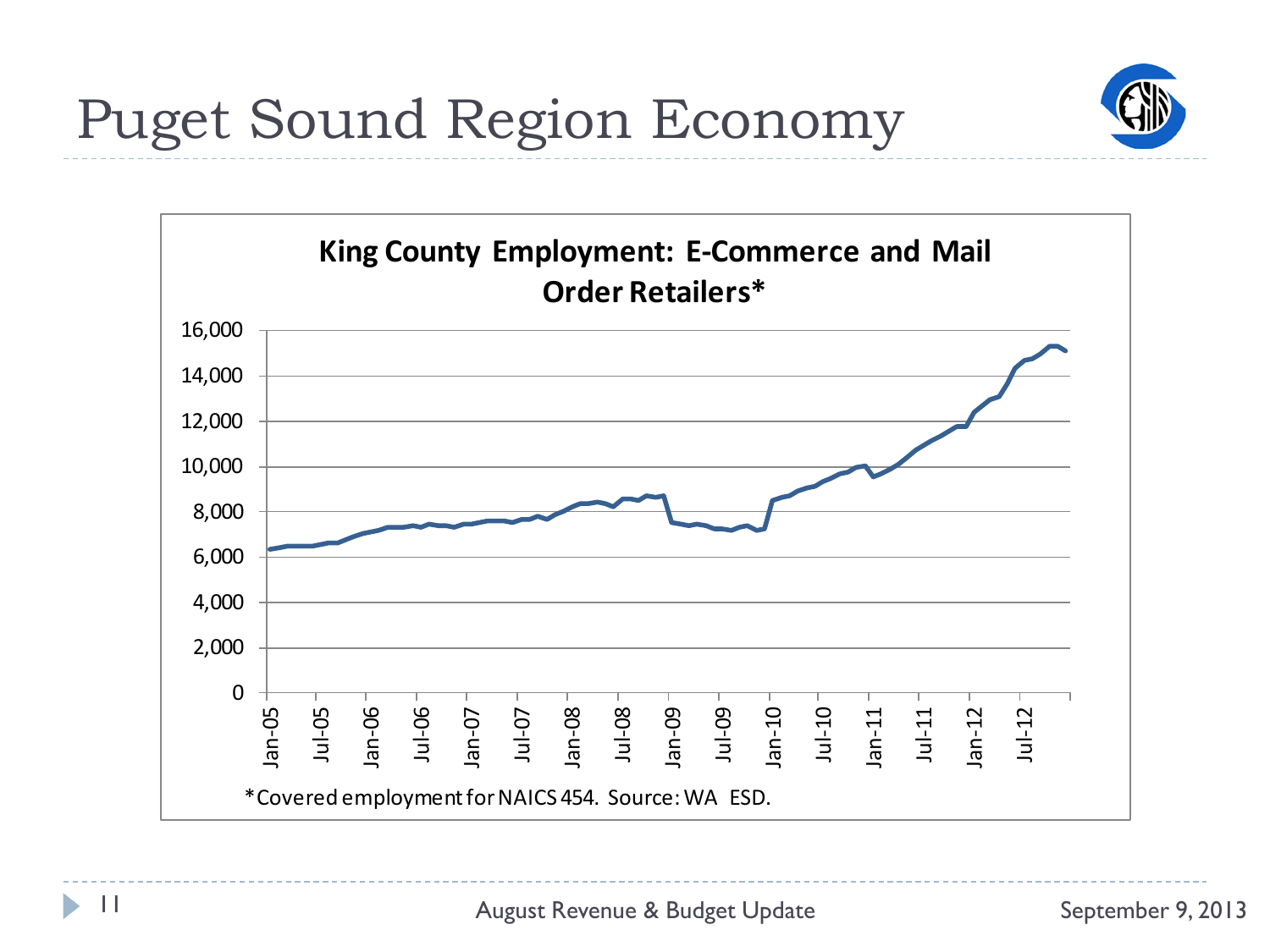

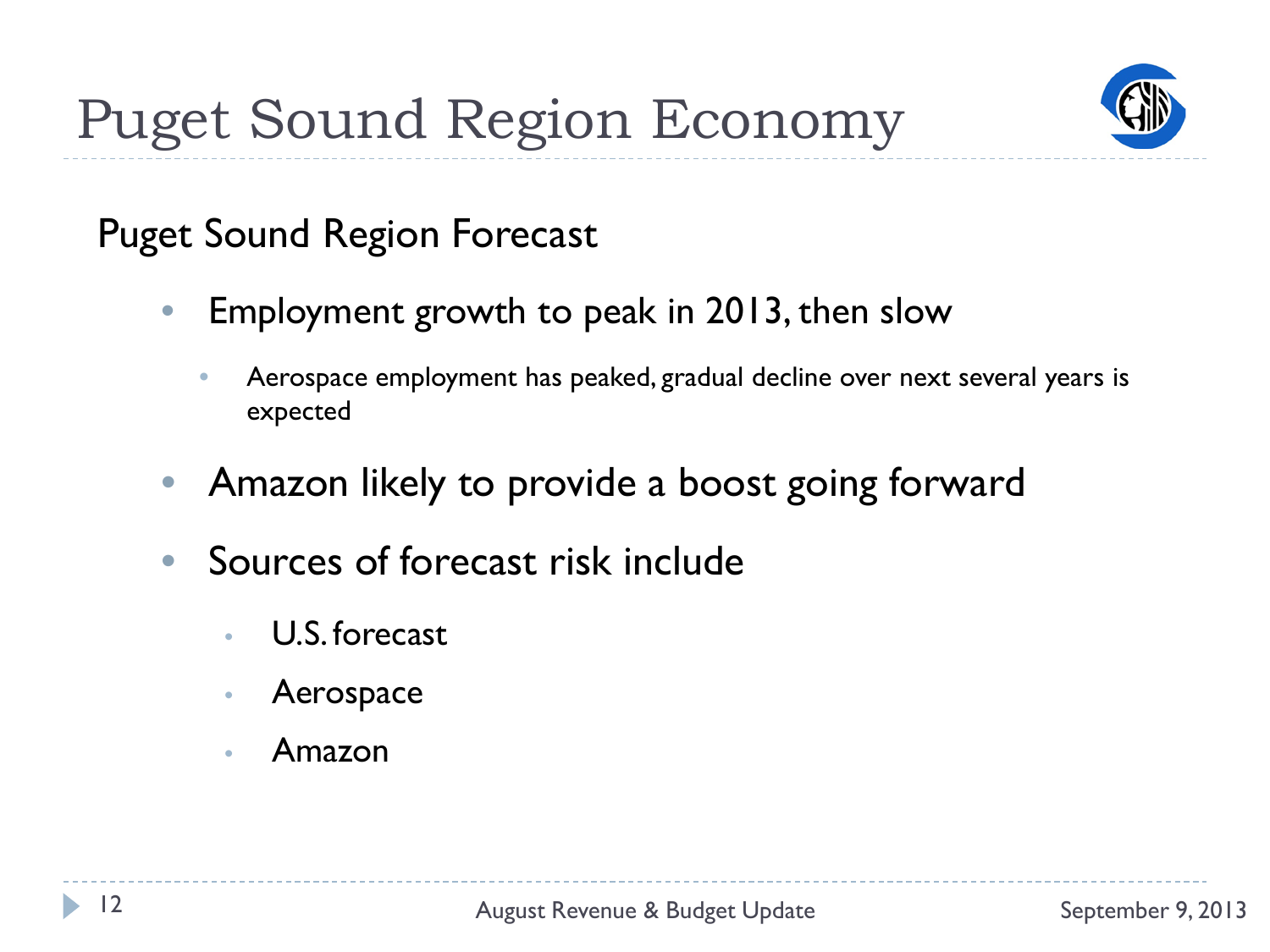

### Puget Sound Region Forecast

- Employment growth to peak in 2013, then slow
	- Aerospace employment has peaked, gradual decline over next several years is expected
- Amazon likely to provide a boost going forward
- Sources of forecast risk include
	- U.S. forecast
	- Aerospace
	- Amazon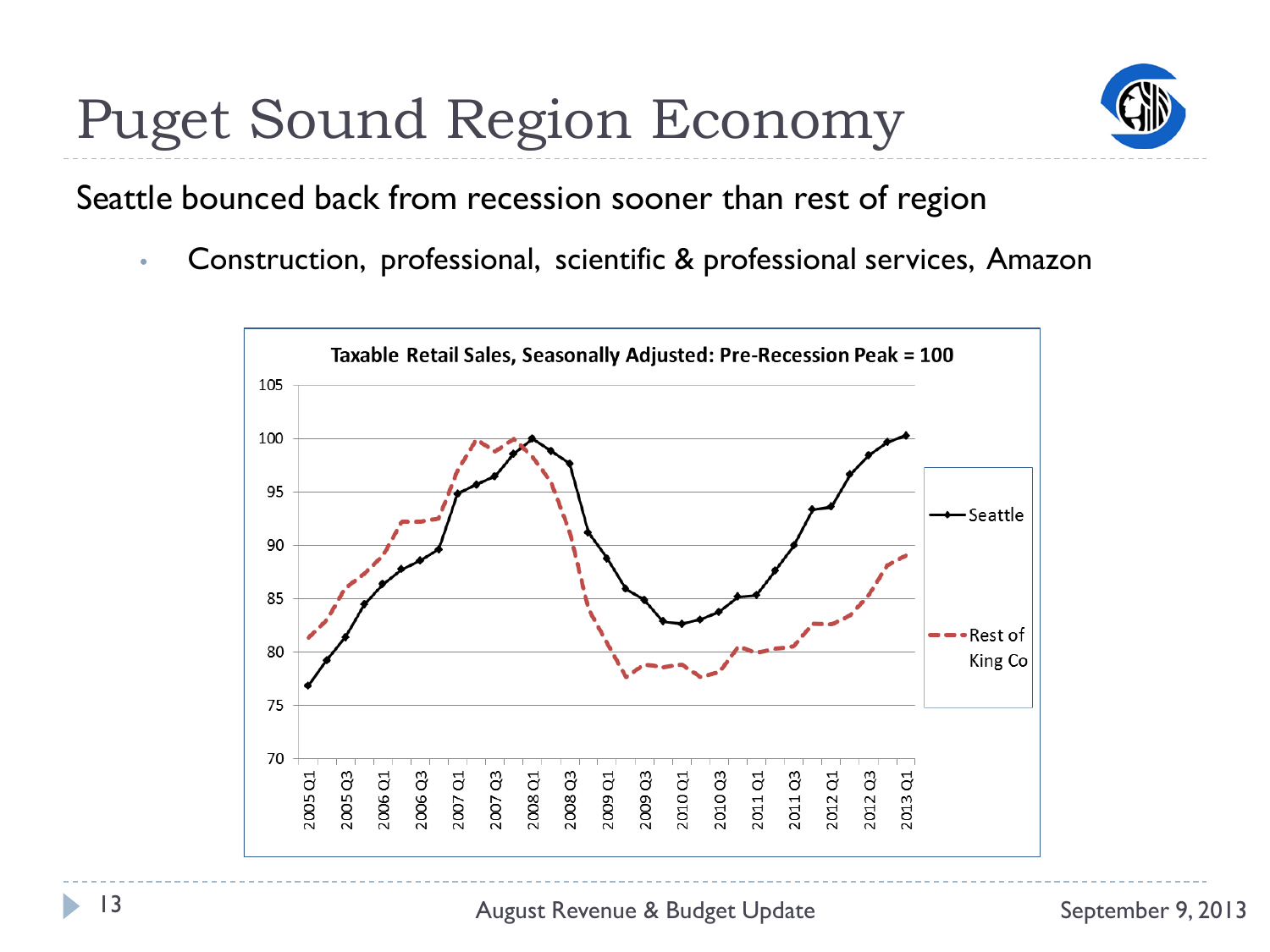

Seattle bounced back from recession sooner than rest of region

• Construction, professional, scientific & professional services, Amazon

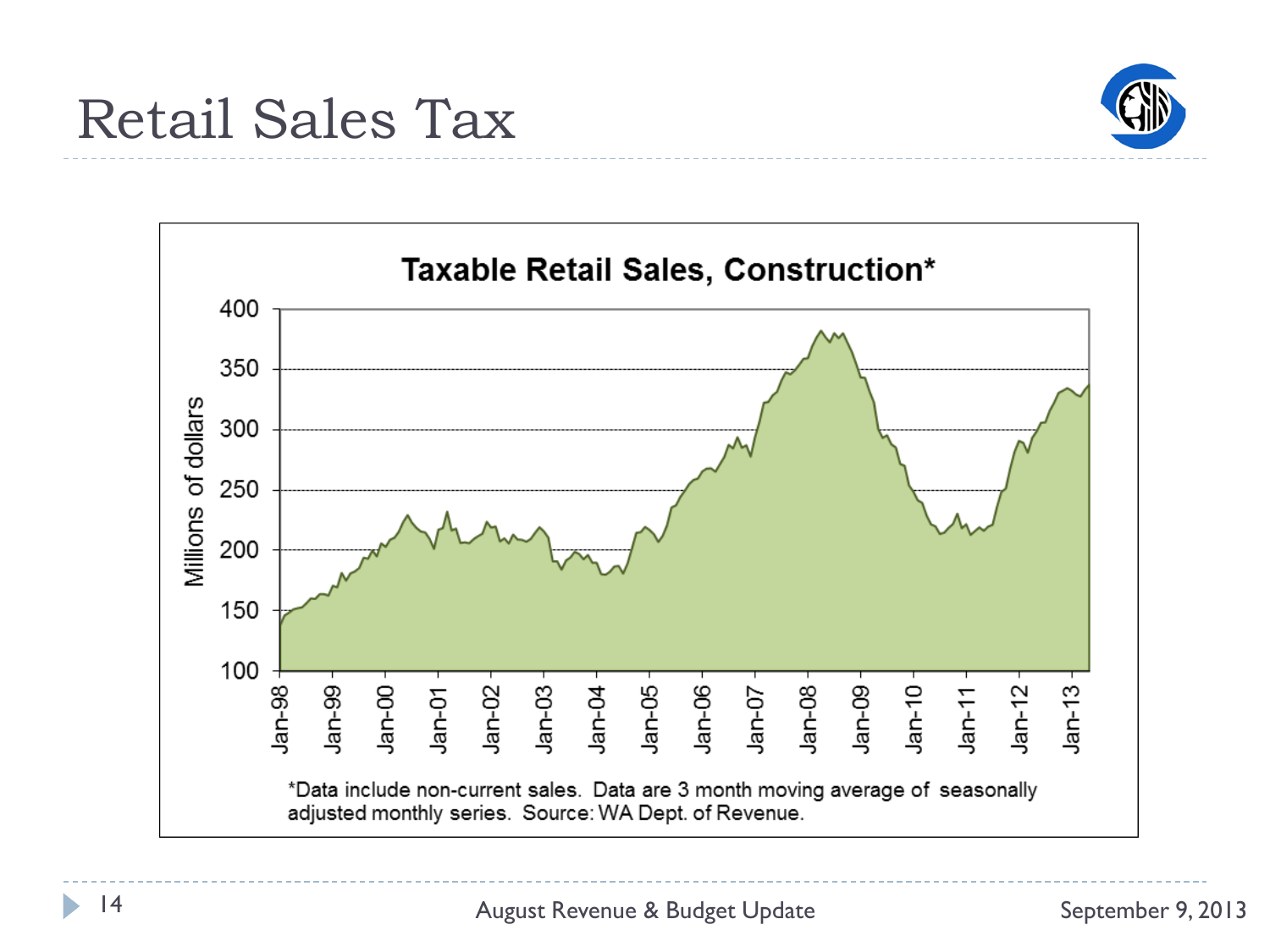



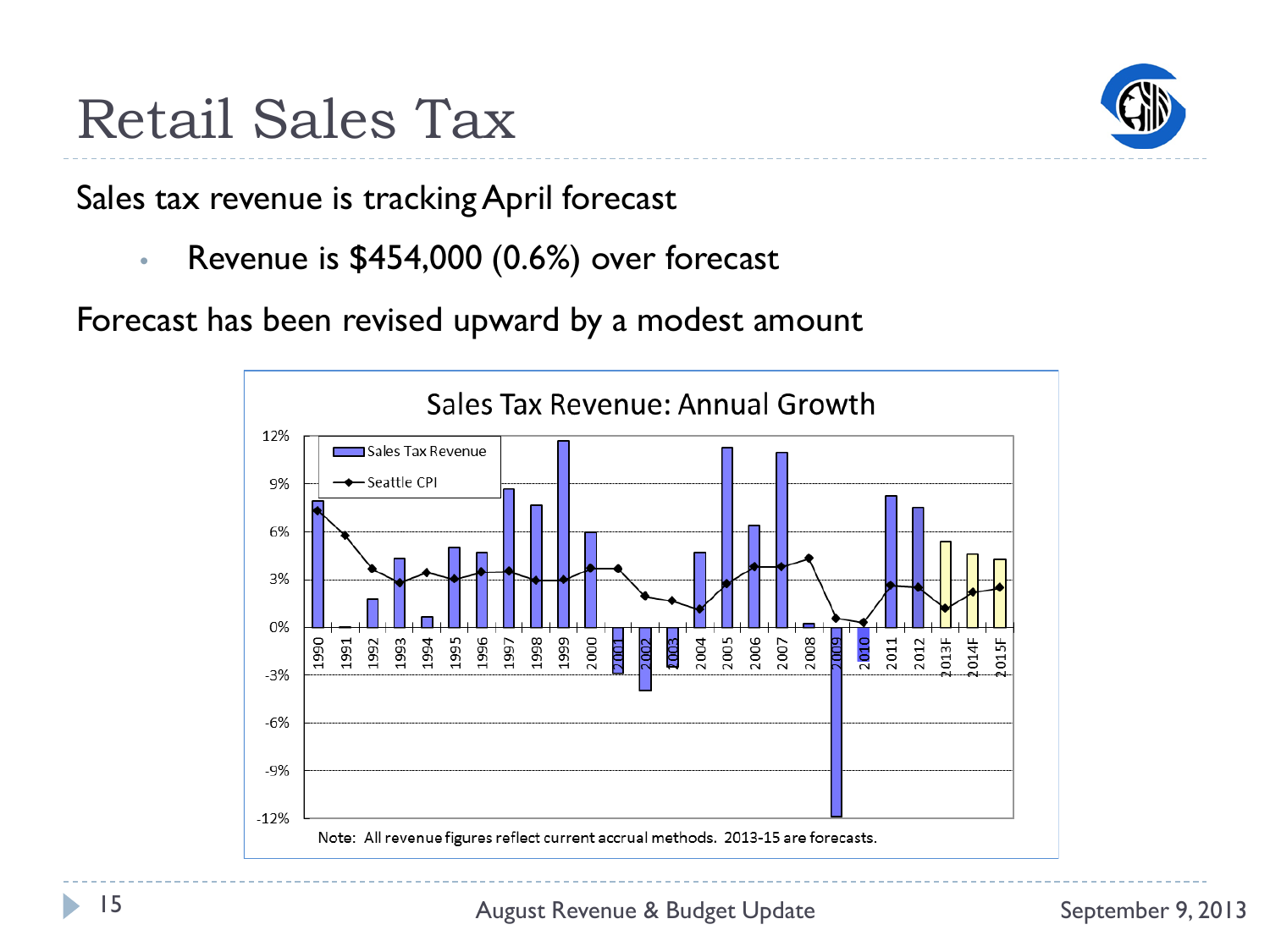



Sales tax revenue is tracking April forecast

• Revenue is \$454,000 (0.6%) over forecast

Forecast has been revised upward by a modest amount

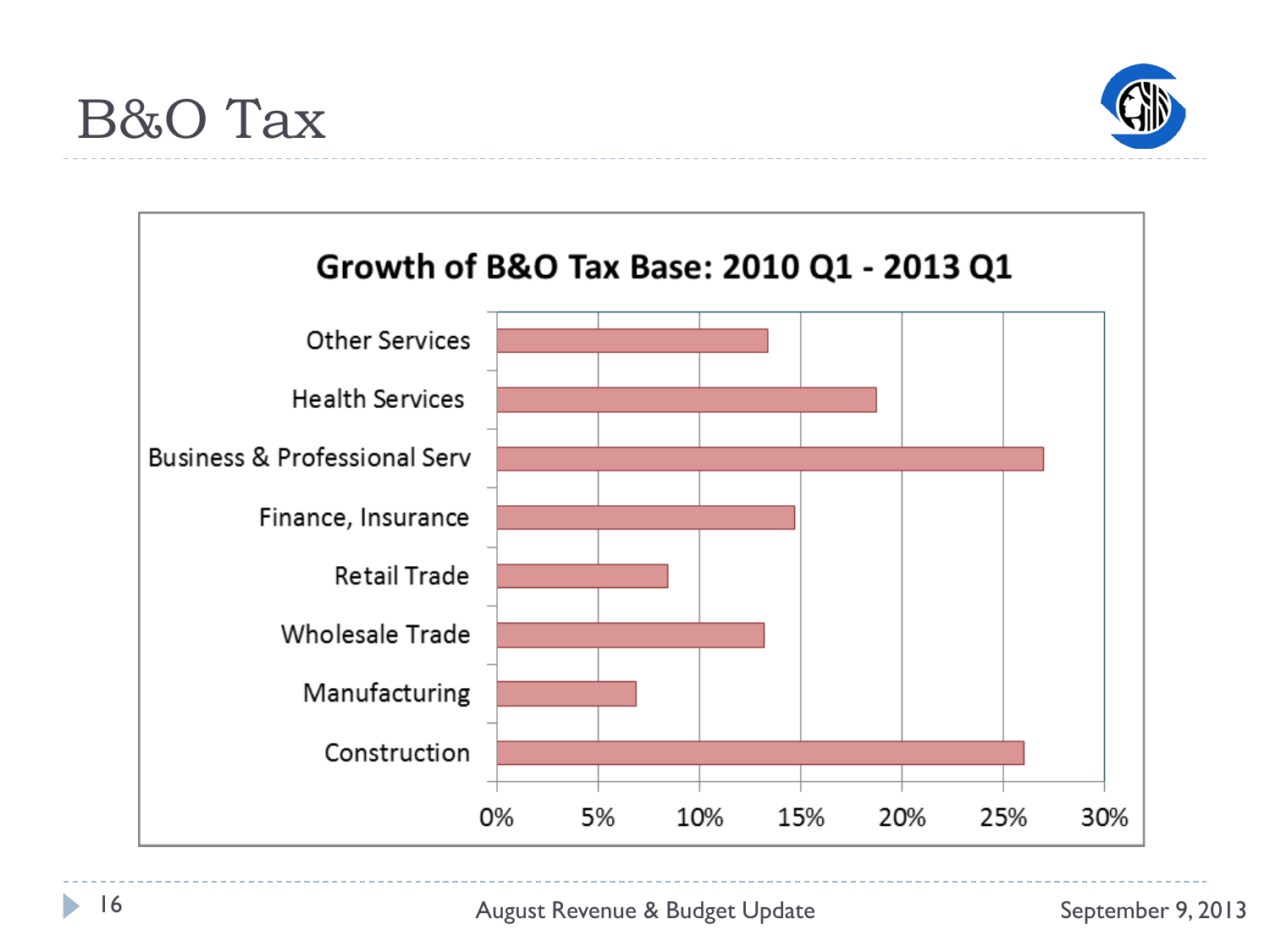



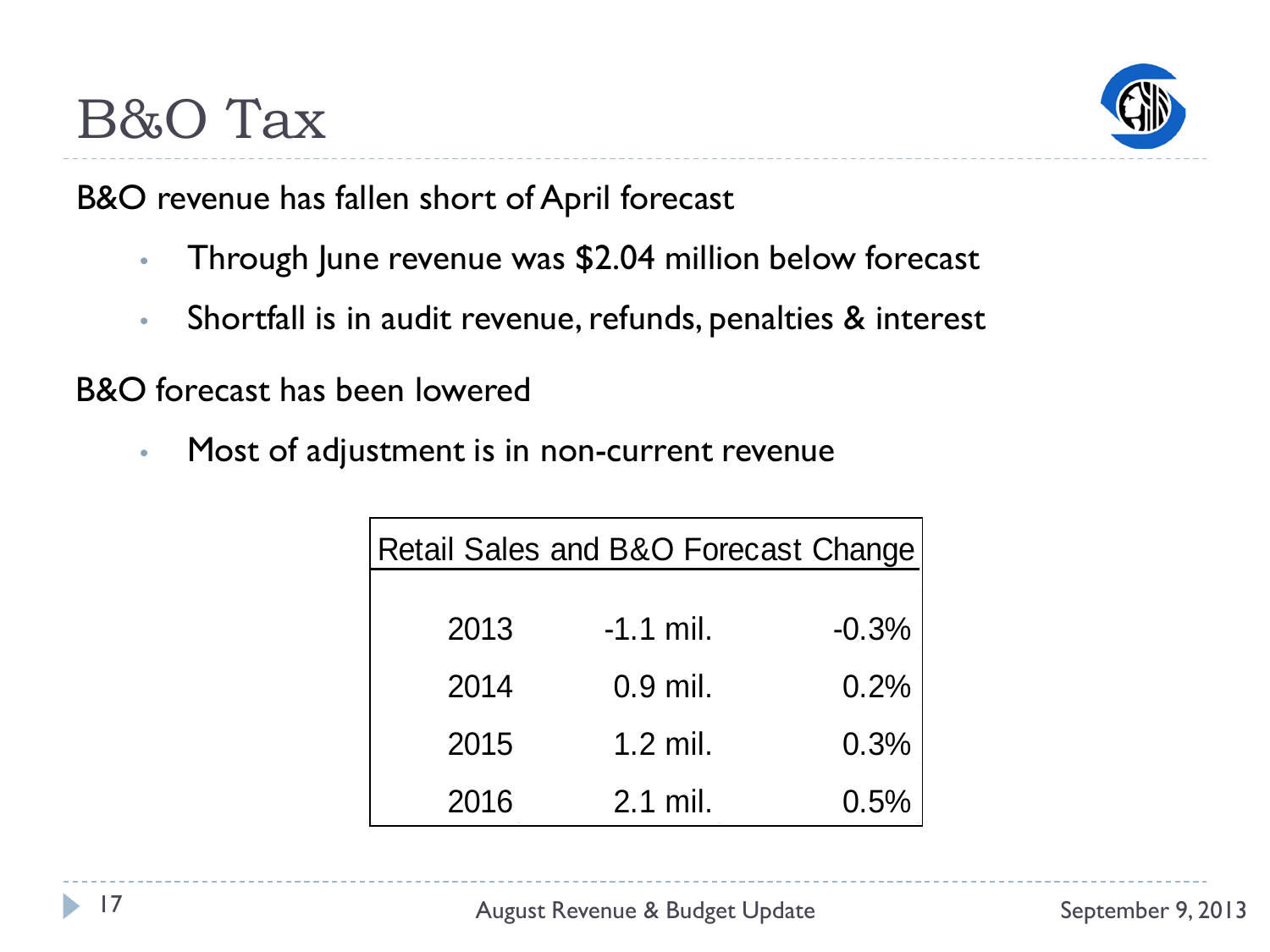

B&O revenue has fallen short of April forecast

- Through June revenue was \$2.04 million below forecast
- Shortfall is in audit revenue, refunds, penalties & interest

B&O forecast has been lowered

• Most of adjustment is in non-current revenue

|      | Retail Sales and B&O Forecast Change |         |
|------|--------------------------------------|---------|
| 2013 | $-1.1$ mil.                          | $-0.3%$ |
| 2014 | $0.9$ mil.                           | 0.2%    |
| 2015 | $1.2$ mil.                           | 0.3%    |
| 2016 | 2.1 mil.                             | 0.5%    |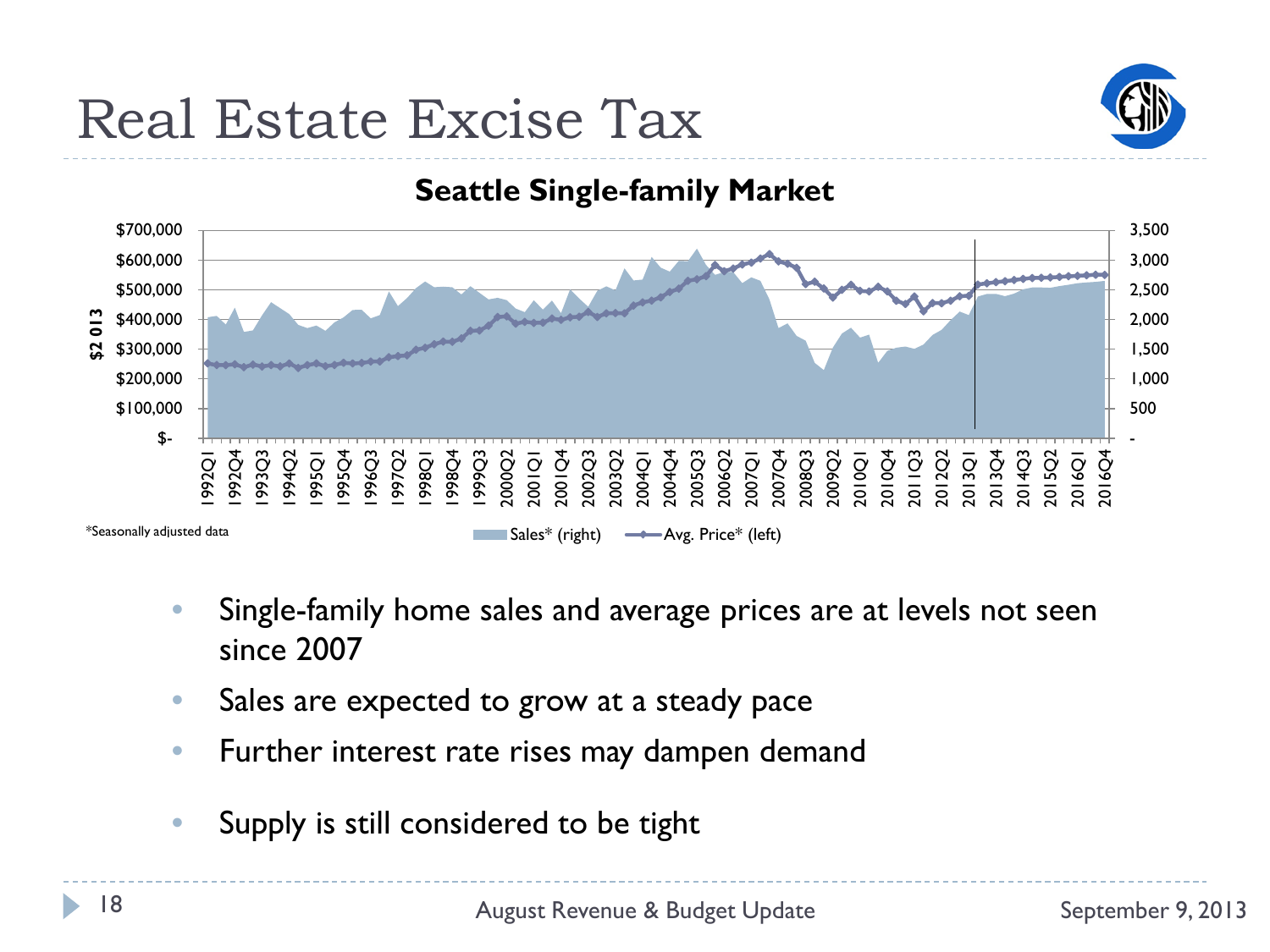## Real Estate Excise Tax



#### **Seattle Single-family Market**



- Single-family home sales and average prices are at levels not seen since 2007
- Sales are expected to grow at a steady pace
- Further interest rate rises may dampen demand
- Supply is still considered to be tight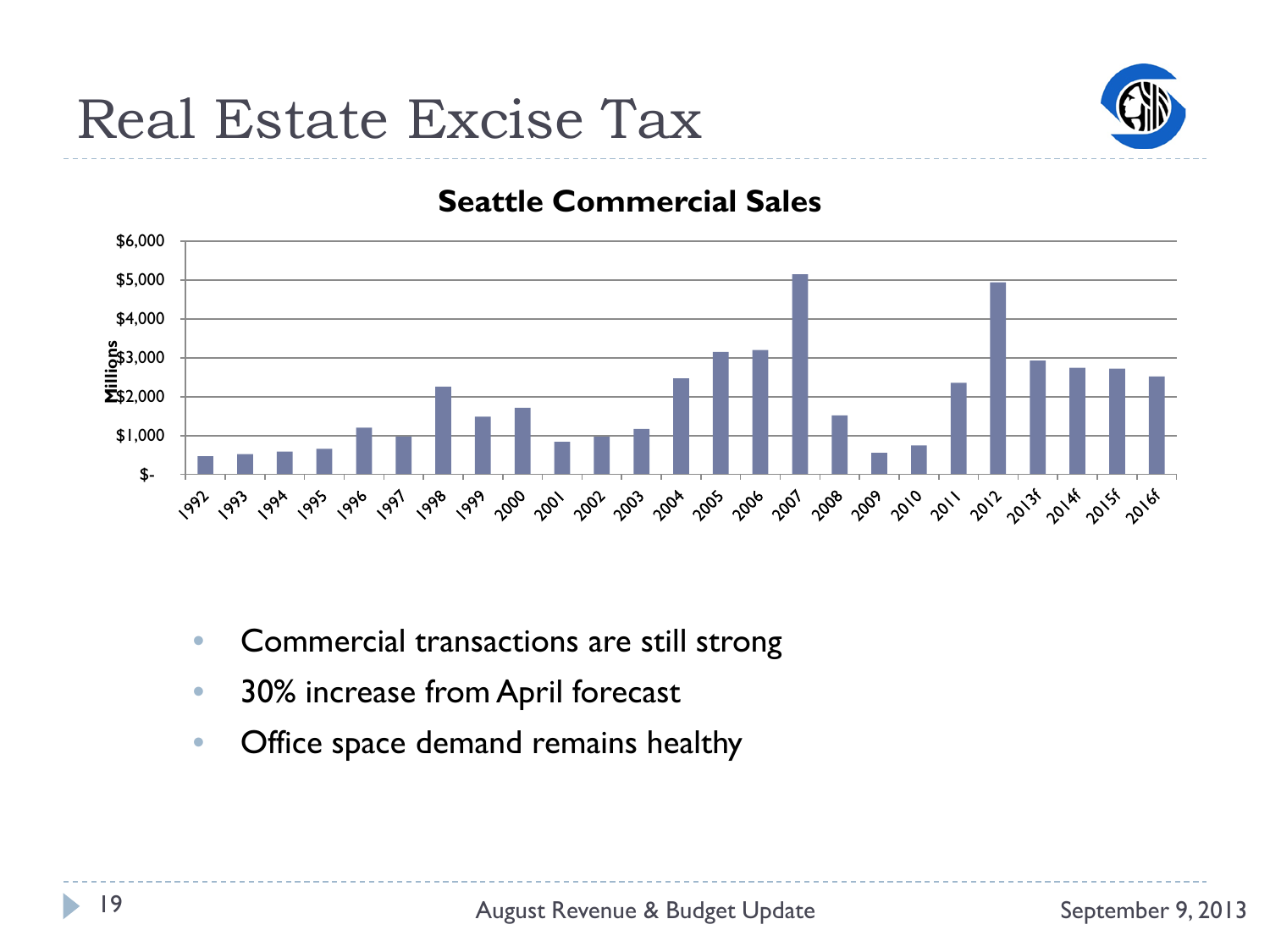

#### **Seattle Commercial Sales**



- Commercial transactions are still strong
- 30% increase from April forecast
- Office space demand remains healthy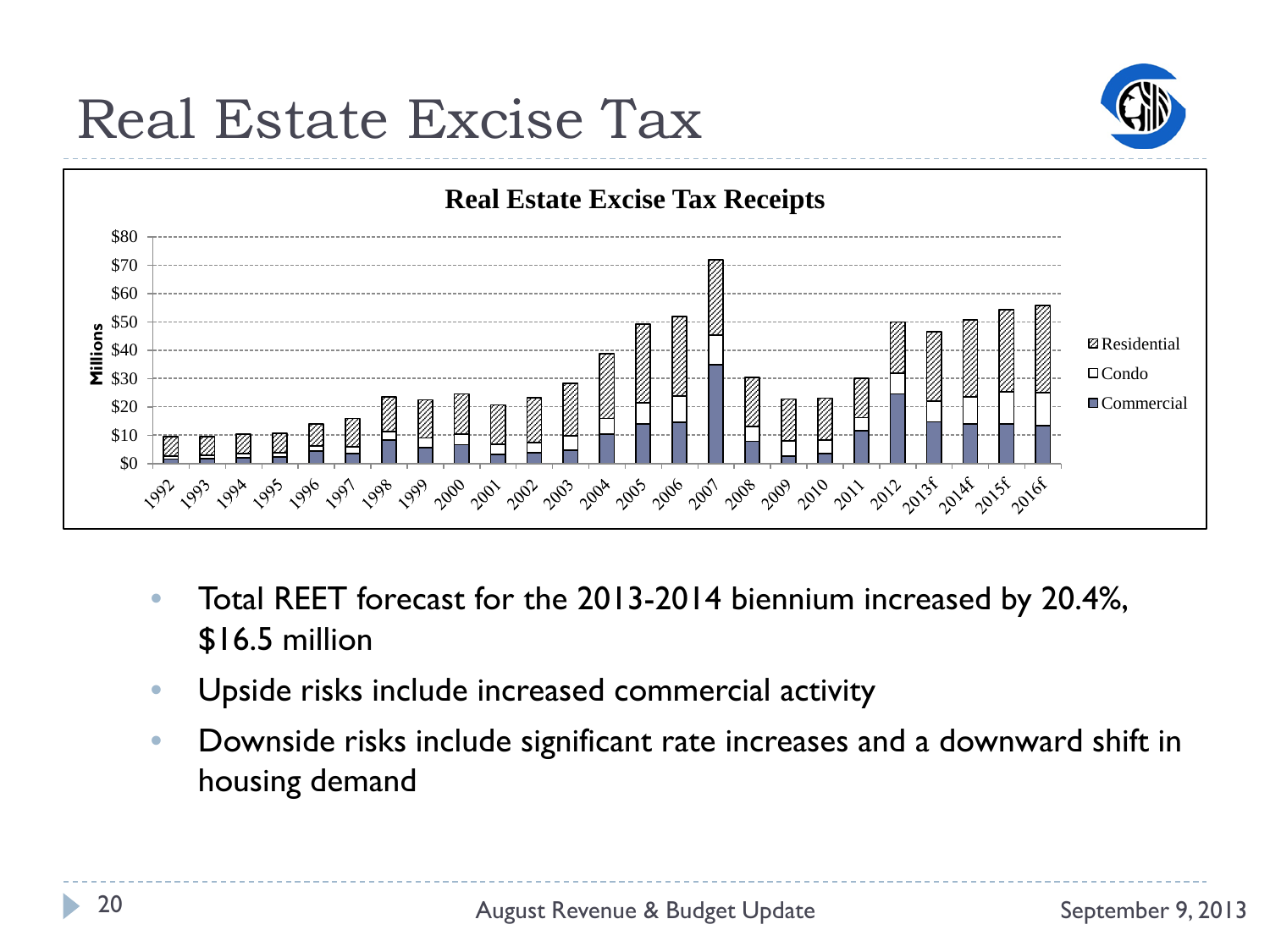## Real Estate Excise Tax





- Total REET forecast for the 2013-2014 biennium increased by 20.4%, \$16.5 million
- Upside risks include increased commercial activity
- Downside risks include significant rate increases and a downward shift in housing demand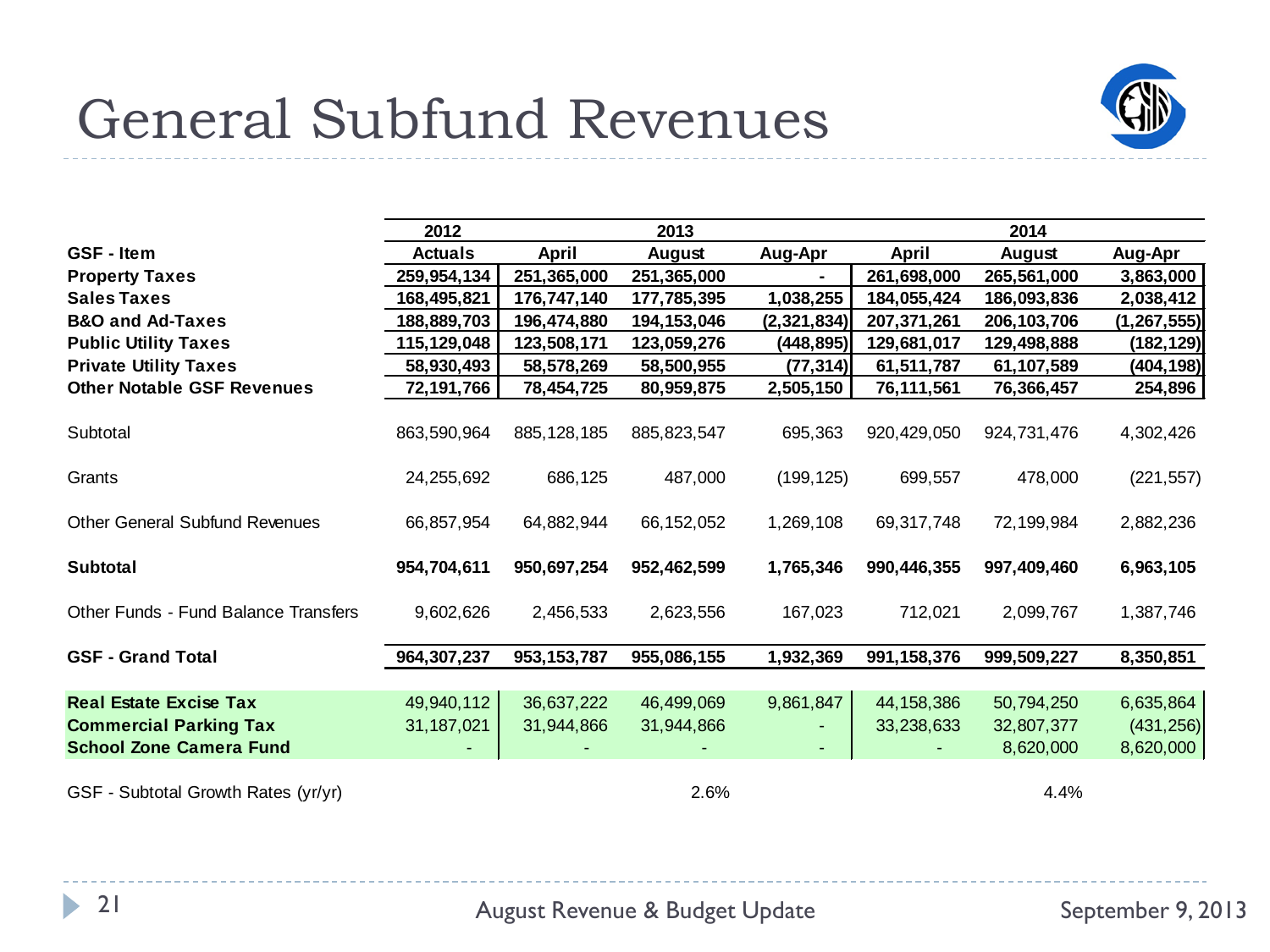### General Subfund Revenues



|                                                                 | 2012           |               | 2013          |               |               | 2014          |               |  |
|-----------------------------------------------------------------|----------------|---------------|---------------|---------------|---------------|---------------|---------------|--|
| <b>GSF</b> - Item                                               | <b>Actuals</b> | April         | August        | Aug-Apr       | April         | August        | Aug-Apr       |  |
| <b>Property Taxes</b>                                           | 259,954,134    | 251,365,000   | 251,365,000   |               | 261,698,000   | 265,561,000   | 3,863,000     |  |
| <b>Sales Taxes</b>                                              | 168,495,821    | 176,747,140   | 177,785,395   | 1,038,255     | 184,055,424   | 186,093,836   | 2,038,412     |  |
| <b>B&amp;O and Ad-Taxes</b>                                     | 188,889,703    | 196,474,880   | 194,153,046   | (2, 321, 834) | 207,371,261   | 206, 103, 706 | (1, 267, 555) |  |
| <b>Public Utility Taxes</b>                                     | 115,129,048    | 123,508,171   | 123,059,276   | (448, 895)    | 129,681,017   | 129,498,888   | (182, 129)    |  |
| <b>Private Utility Taxes</b>                                    | 58,930,493     | 58,578,269    | 58,500,955    | (77, 314)     | 61,511,787    | 61,107,589    | (404, 198)    |  |
| <b>Other Notable GSF Revenues</b>                               | 72,191,766     | 78,454,725    | 80,959,875    | 2,505,150     | 76,111,561    | 76,366,457    | 254,896       |  |
| Subtotal                                                        | 863,590,964    | 885, 128, 185 | 885, 823, 547 | 695,363       | 920,429,050   | 924,731,476   | 4,302,426     |  |
| Grants                                                          | 24,255,692     | 686,125       | 487,000       | (199, 125)    | 699,557       | 478,000       | (221, 557)    |  |
| <b>Other General Subfund Revenues</b>                           | 66,857,954     | 64,882,944    | 66, 152, 052  | 1,269,108     | 69,317,748    | 72,199,984    | 2,882,236     |  |
| Subtotal                                                        | 954,704,611    | 950,697,254   | 952,462,599   | 1,765,346     | 990,446,355   | 997,409,460   | 6,963,105     |  |
| Other Funds - Fund Balance Transfers                            | 9,602,626      | 2,456,533     | 2,623,556     | 167,023       | 712,021       | 2,099,767     | 1,387,746     |  |
| <b>GSF - Grand Total</b>                                        | 964,307,237    | 953, 153, 787 | 955,086,155   | 1,932,369     | 991, 158, 376 | 999,509,227   | 8,350,851     |  |
| <b>Real Estate Excise Tax</b>                                   | 49,940,112     |               |               | 9,861,847     |               |               |               |  |
|                                                                 |                | 36,637,222    | 46,499,069    |               | 44, 158, 386  | 50,794,250    | 6,635,864     |  |
| <b>Commercial Parking Tax</b><br><b>School Zone Camera Fund</b> | 31, 187, 021   | 31,944,866    | 31,944,866    |               | 33,238,633    | 32,807,377    | (431, 256)    |  |
|                                                                 |                |               |               |               |               | 8,620,000     | 8,620,000     |  |
| GSF - Subtotal Growth Rates (yr/yr)                             |                |               | 2.6%          |               |               | 4.4%          |               |  |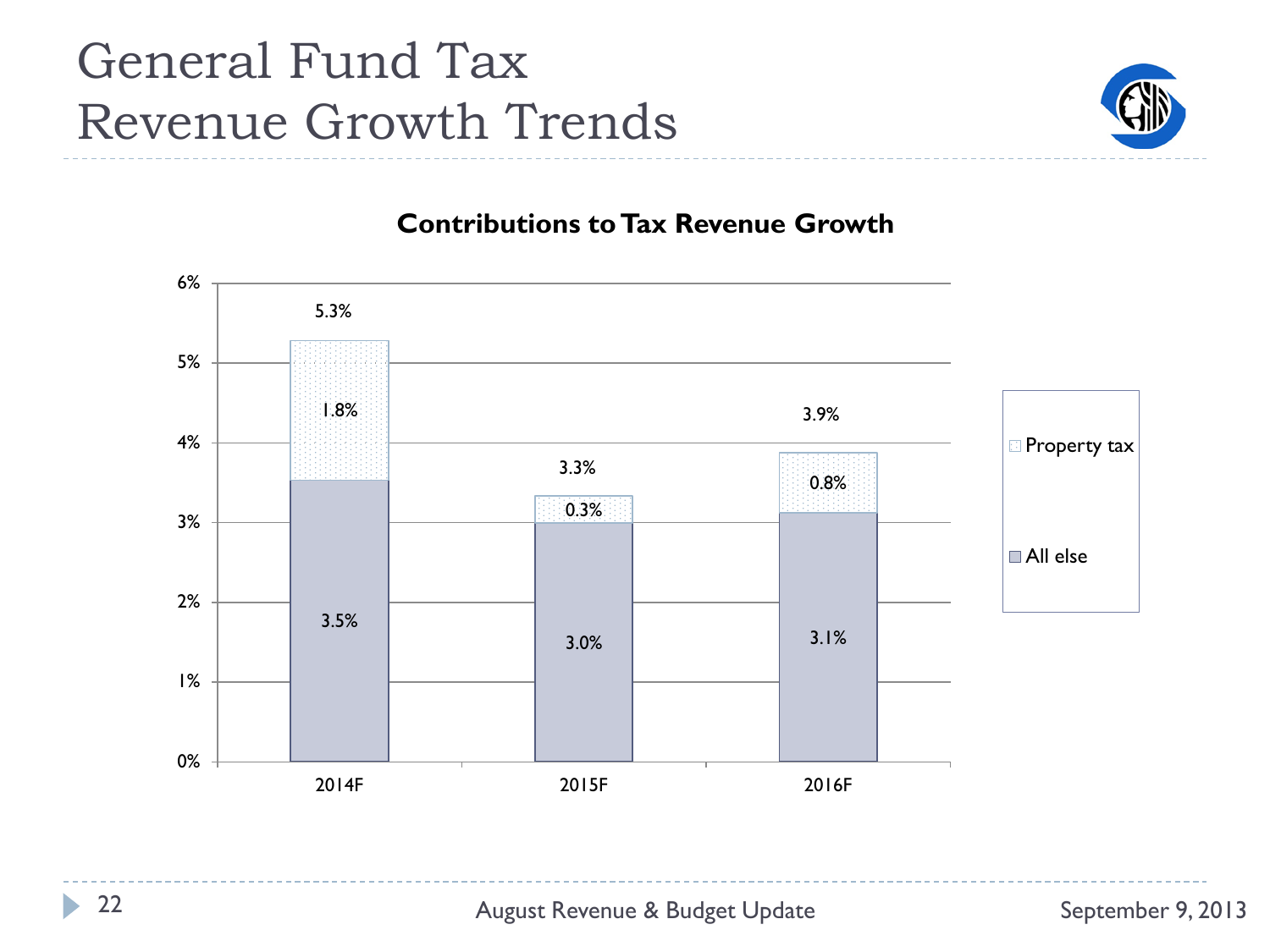### General Fund Tax Revenue Growth Trends



#### **Contributions to Tax Revenue Growth**



h.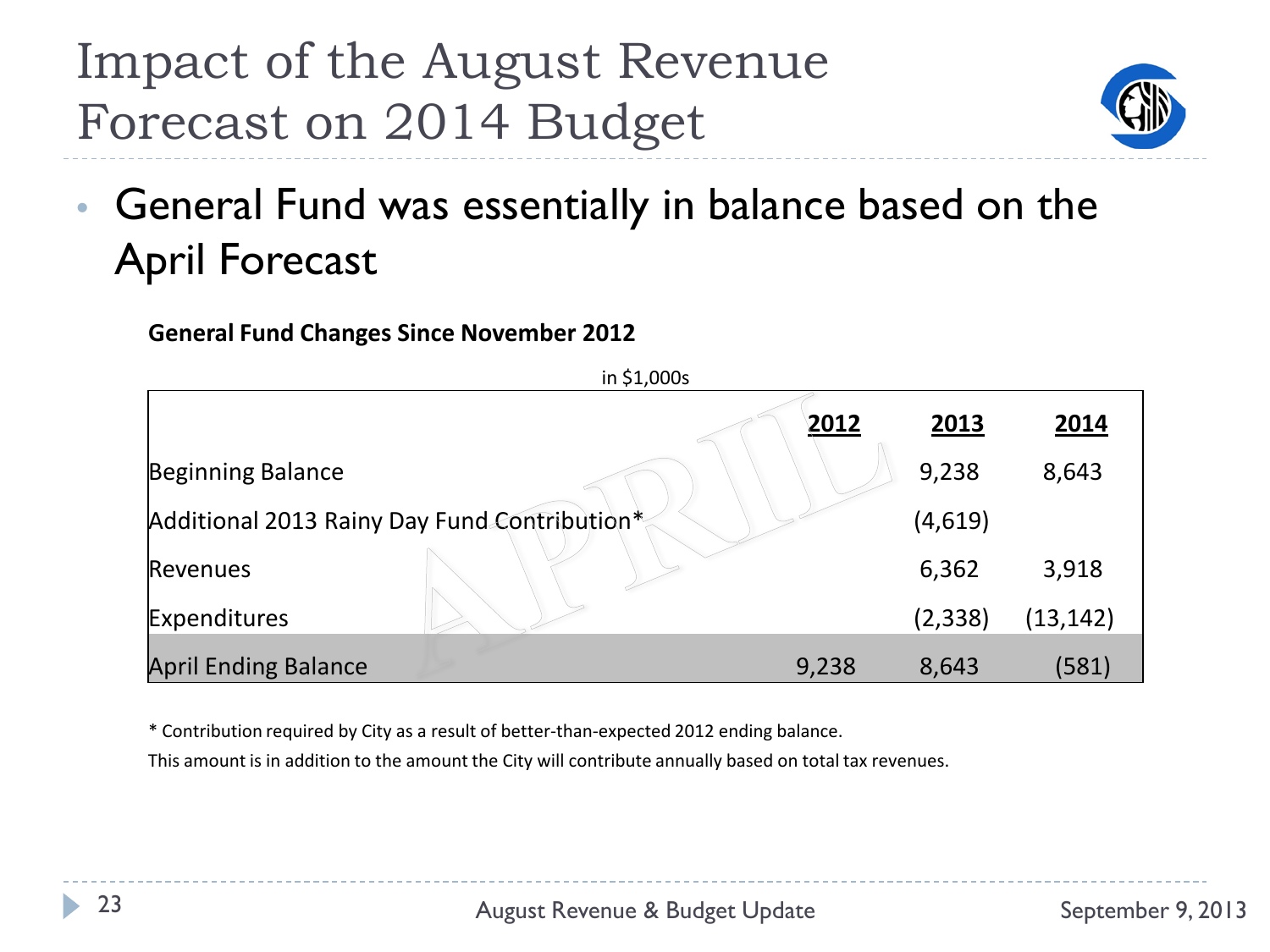### Impact of the August Revenue Forecast on 2014 Budget



• General Fund was essentially in balance based on the April Forecast

#### **General Fund Changes Since November 2012**

| in \$1,000s                                  |  |       |          |           |  |  |  |  |
|----------------------------------------------|--|-------|----------|-----------|--|--|--|--|
|                                              |  | 2012  | 2013     | 2014      |  |  |  |  |
| Beginning Balance                            |  |       | 9,238    | 8,643     |  |  |  |  |
| Additional 2013 Rainy Day Fund Contribution* |  |       | (4,619)  |           |  |  |  |  |
| Revenues                                     |  |       | 6,362    | 3,918     |  |  |  |  |
| Expenditures                                 |  |       | (2, 338) | (13, 142) |  |  |  |  |
| <b>April Ending Balance</b>                  |  | 9,238 | 8,643    | (581)     |  |  |  |  |

\* Contribution required by City as a result of better-than-expected 2012 ending balance.

This amount is in addition to the amount the City will contribute annually based on total tax revenues.